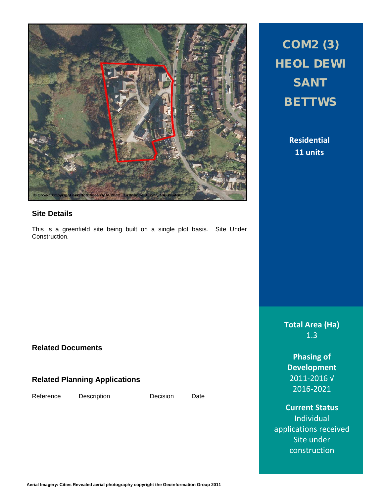

### **Site Details**

This is a greenfield site being built on a single plot basis. Site Under Construction.

### **Related Documents**

### **Related Planning Applications**

Reference Description Decision Date

# COM2 (3) HEOL DEWI SANT **BETTWS**

**Residential 11 units**

**Total Area (Ha)** 1.3

**Phasing of Development** 2011-2016 √ 2016-2021

**Current Status** Individual applications received Site under construction